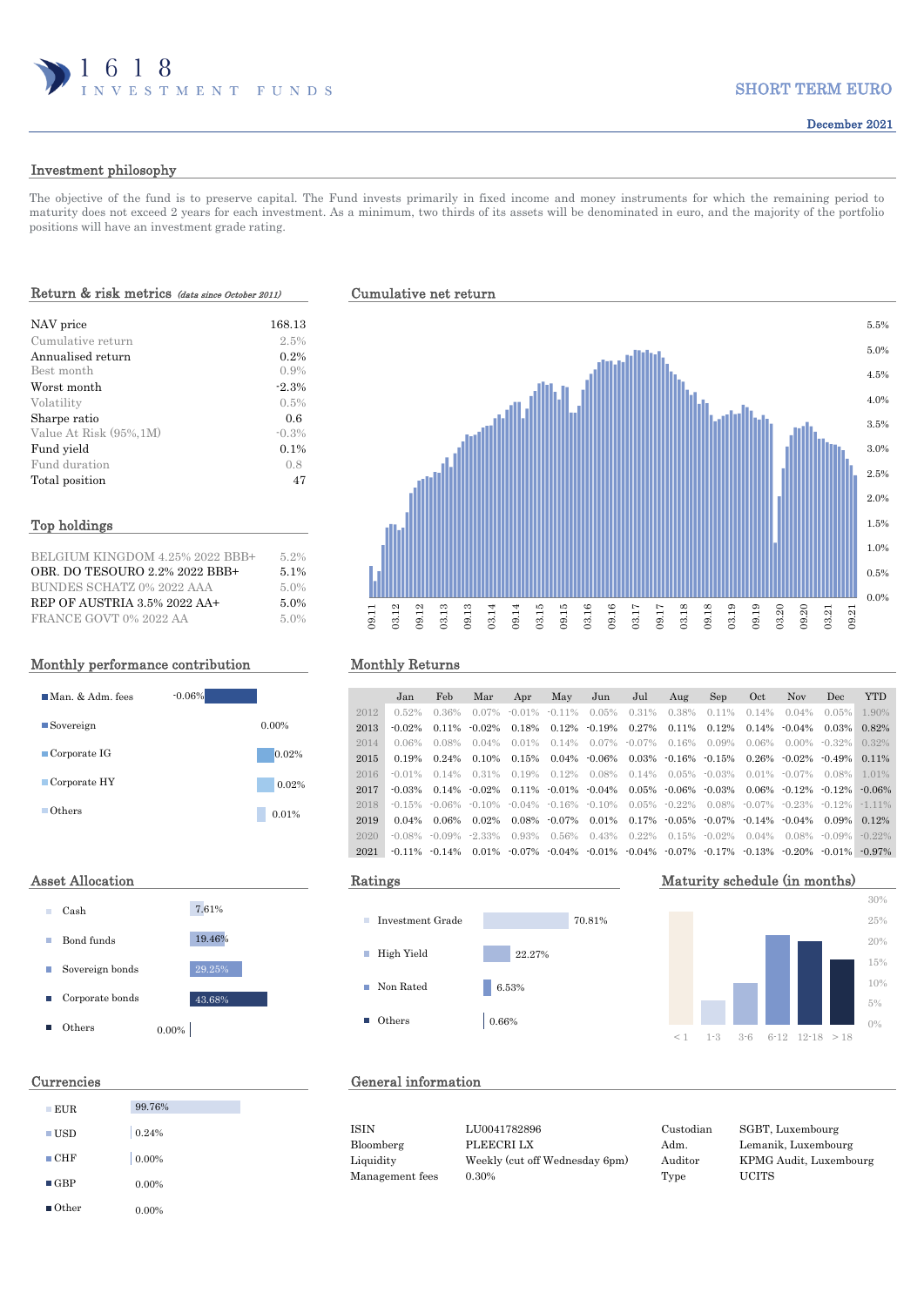

# SHORT TERM EURO

# Investment philosophy

The objective of the fund is to preserve capital. The Fund invests primarily in fixed income and money instruments for which the remaining period to maturity does not exceed 2 years for each investment. As a minimum, two thirds of its assets will be denominated in euro, and the majority of the portfolio positions will have an investment grade rating.

## Return & risk metrics (data since October 2011) Cumulative net return

| NAV price               | 168.13  |
|-------------------------|---------|
| Cumulative return       | 2.5%    |
| Annualised return       | 0.2%    |
| Best month              | 0.9%    |
| Worst month             | $-2.3%$ |
| Volatility              | 0.5%    |
| Sharpe ratio            | 0.6     |
| Value At Risk (95%, 1M) | $-0.3%$ |
| Fund yield              | $0.1\%$ |
| Fund duration           | 0.8     |
| Total position          | 47      |

### Top holdings

| BELGIUM KINGDOM 4.25% 2022 BBB+ | 5.2% |
|---------------------------------|------|
| OBR. DO TESOURO 2.2% 2022 BBB+  | 5.1% |
| BUNDES SCHATZ 0% 2022 AAA       | 5.0% |
| REP OF AUSTRIA 3.5% 2022 AA+    | 5.0% |
| FRANCE GOVT 0% 2022 AA          | 5.0% |

## Monthly performance contribution Monthly Returns



| Cash            |       | 7.61%  |
|-----------------|-------|--------|
| Bond funds      |       | 19.46% |
| Sovereign bonds |       | 29.25% |
| Corporate bonds |       | 43.68% |
| Others          | 0.00% |        |

| $\blacksquare$ EUR   | 99.76%   |
|----------------------|----------|
| $\blacksquare$ USD   | 0.24%    |
| $\blacksquare$ CHF   | 0.00%    |
| $\blacksquare$ GBP   | $0.00\%$ |
| $\blacksquare$ Other | $0.00\%$ |



|      | Jan       | Feb                | Mar               | Apr                                                         | May                        | Jun               | Jul             | Aug                          | Sep                                                                                       | Oct      | <b>Nov</b>                             | Dec               | <b>YTD</b> |
|------|-----------|--------------------|-------------------|-------------------------------------------------------------|----------------------------|-------------------|-----------------|------------------------------|-------------------------------------------------------------------------------------------|----------|----------------------------------------|-------------------|------------|
| 2012 | 0.52%     | $0.36\%$           | $0.07\%$          |                                                             | $-0.01\% - 0.11\%$         | $0.05\%$          | $0.31\%$        | 0.38%                        | $0.11\%$                                                                                  | $0.14\%$ | $0.04\%$                               | $0.05\%$          | 1.90%      |
| 2013 | $-0.02\%$ | 0.11%              | $-0.02\%$         | 0.18%                                                       |                            | $0.12\% - 0.19\%$ | 0.27%           | 0.11%                        | 0.12%                                                                                     |          | $0.14\% - 0.04\%$                      | 0.03%             | 0.82%      |
| 2014 | $0.06\%$  | $0.08\%$           | $0.04\%$          | $0.01\%$                                                    | $0.14\%$                   |                   | $0.07\%$ -0.07% | $0.16\%$                     | $0.09\%$                                                                                  | $0.06\%$ |                                        | $0.00\% - 0.32\%$ | $0.32\%$   |
| 2015 | 0.19%     | $0.24\%$           | 0.10%             | 0.15%                                                       |                            | $0.04\%$ -0.06%   |                 | $0.03\%$ $-0.16\%$ $-0.15\%$ |                                                                                           |          | $0.26\% - 0.02\% - 0.49\%$             |                   | $0.11\%$   |
| 2016 | $-0.01\%$ | $0.14\%$           | 0.31%             | $0.19\%$                                                    | $0.12\%$                   | 0.08%             | $0.14\%$        |                              | $0.05\%$ -0.03%                                                                           |          | $0.01\% - 0.07\% - 0.08\%$             |                   | 1.01%      |
| 2017 | $-0.03\%$ |                    | $0.14\% - 0.02\%$ |                                                             | $0.11\% - 0.01\% - 0.04\%$ |                   |                 | $0.05\%$ $-0.06\%$ $-0.03\%$ |                                                                                           |          | $0.06\% - 0.12\% - 0.12\%$             |                   | $-0.06\%$  |
| 2018 |           |                    |                   | $-0.15\%$ $-0.06\%$ $-0.10\%$ $-0.04\%$ $-0.16\%$ $-0.10\%$ |                            |                   |                 | $0.05\%$ -0.22%              |                                                                                           |          | $0.08\%$ $-0.07\%$ $-0.23\%$ $-0.12\%$ |                   | $-1$ 11%   |
| 2019 | $0.04\%$  | 0.06%              | $0.02\%$          |                                                             | $0.08\%$ $-0.07\%$         | 0.01%             |                 |                              | $0.17\%$ $0.05\%$ $0.07\%$ $0.14\%$ $0.04\%$                                              |          |                                        | 0.09%             | $0.12\%$   |
| 2020 | -0.08%    |                    | $-0.09\% -2.33\%$ | 0.93%                                                       | $0.56\%$                   | $0.43\%$          | $0.22\%$        | $0.15\%$ -0.02%              |                                                                                           | $0.04\%$ |                                        | $0.08\%$ -0.09%   | $-0.22\%$  |
| 2021 |           | $-0.11\% - 0.14\%$ |                   |                                                             |                            |                   |                 |                              | $0.01\%$ $0.07\%$ $0.04\%$ $0.01\%$ $0.04\%$ $0.07\%$ $0.17\%$ $0.13\%$ $0.20\%$ $0.01\%$ |          |                                        |                   | $-0.97\%$  |







# Currencies General information

ISIN LU0041782896 Custodian SGBT, Luxembourg Bloomberg PLEECRI LX Adm. Lemanik, Luxembourg Liquidity Weekly (cut off Wednesday 6pm) Auditor KPMG Audit, Luxembourg Management fees 0.30% Type UCITS